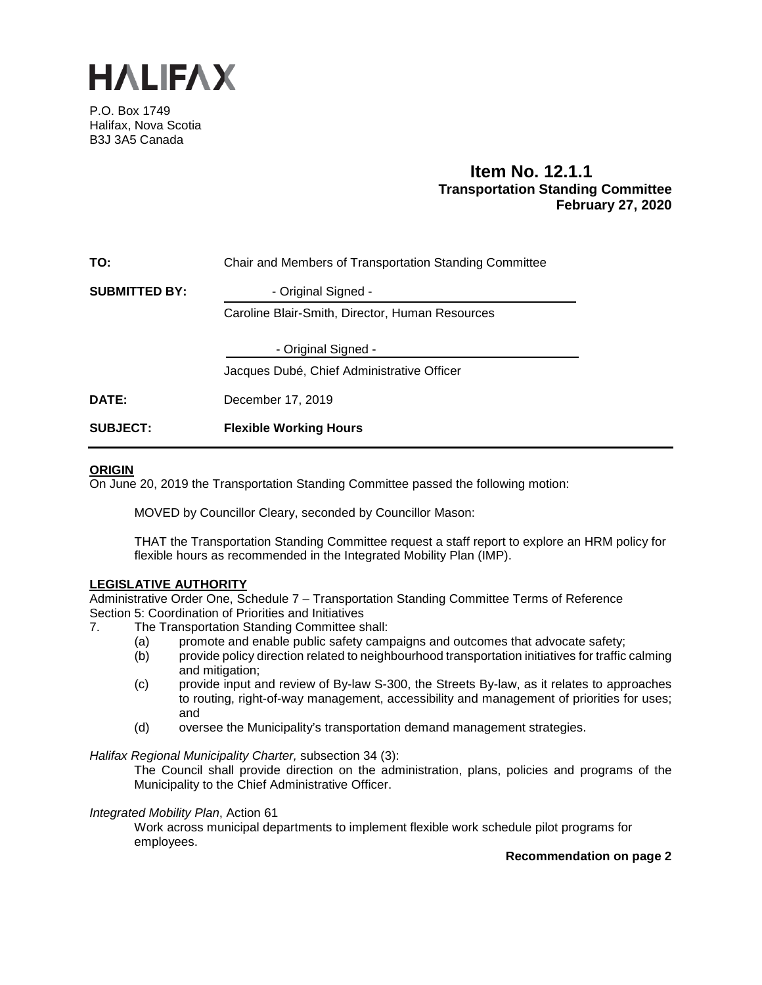

P.O. Box 1749 Halifax, Nova Scotia B3J 3A5 Canada

# **Item No. 12.1.1 Transportation Standing Committee February 27, 2020**

| <b>SUBJECT:</b>      | <b>Flexible Working Hours</b>                          |  |  |
|----------------------|--------------------------------------------------------|--|--|
| DATE:                | December 17, 2019                                      |  |  |
|                      | Jacques Dubé, Chief Administrative Officer             |  |  |
|                      | - Original Signed -                                    |  |  |
|                      | Caroline Blair-Smith, Director, Human Resources        |  |  |
| <b>SUBMITTED BY:</b> | - Original Signed -                                    |  |  |
| TO:                  | Chair and Members of Transportation Standing Committee |  |  |

## **ORIGIN**

On June 20, 2019 the Transportation Standing Committee passed the following motion:

MOVED by Councillor Cleary, seconded by Councillor Mason:

THAT the Transportation Standing Committee request a staff report to explore an HRM policy for flexible hours as recommended in the Integrated Mobility Plan (IMP).

## **LEGISLATIVE AUTHORITY**

Administrative Order One, Schedule 7 – Transportation Standing Committee Terms of Reference Section 5: Coordination of Priorities and Initiatives

- 7. The Transportation Standing Committee shall:
	- (a) promote and enable public safety campaigns and outcomes that advocate safety;
	- (b) provide policy direction related to neighbourhood transportation initiatives for traffic calming and mitigation;
	- (c) provide input and review of By-law S-300, the Streets By-law, as it relates to approaches to routing, right-of-way management, accessibility and management of priorities for uses; and
	- (d) oversee the Municipality's transportation demand management strategies.

*Halifax Regional Municipality Charter,* subsection 34 (3):

The Council shall provide direction on the administration, plans, policies and programs of the Municipality to the Chief Administrative Officer.

## *Integrated Mobility Plan*, Action 61

Work across municipal departments to implement flexible work schedule pilot programs for employees.

**Recommendation on page 2**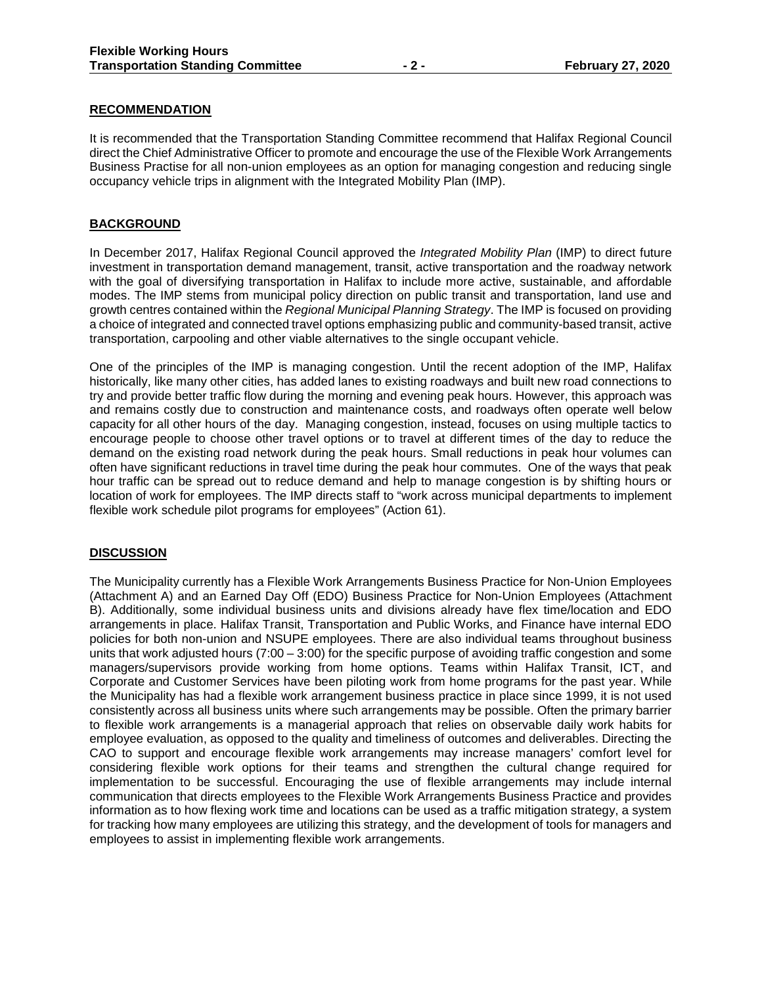## **RECOMMENDATION**

It is recommended that the Transportation Standing Committee recommend that Halifax Regional Council direct the Chief Administrative Officer to promote and encourage the use of the Flexible Work Arrangements Business Practise for all non-union employees as an option for managing congestion and reducing single occupancy vehicle trips in alignment with the Integrated Mobility Plan (IMP).

## **BACKGROUND**

In December 2017, Halifax Regional Council approved the *Integrated Mobility Plan* (IMP) to direct future investment in transportation demand management, transit, active transportation and the roadway network with the goal of diversifying transportation in Halifax to include more active, sustainable, and affordable modes. The IMP stems from municipal policy direction on public transit and transportation, land use and growth centres contained within the *Regional Municipal Planning Strategy*. The IMP is focused on providing a choice of integrated and connected travel options emphasizing public and community-based transit, active transportation, carpooling and other viable alternatives to the single occupant vehicle.

One of the principles of the IMP is managing congestion. Until the recent adoption of the IMP, Halifax historically, like many other cities, has added lanes to existing roadways and built new road connections to try and provide better traffic flow during the morning and evening peak hours. However, this approach was and remains costly due to construction and maintenance costs, and roadways often operate well below capacity for all other hours of the day. Managing congestion, instead, focuses on using multiple tactics to encourage people to choose other travel options or to travel at different times of the day to reduce the demand on the existing road network during the peak hours. Small reductions in peak hour volumes can often have significant reductions in travel time during the peak hour commutes. One of the ways that peak hour traffic can be spread out to reduce demand and help to manage congestion is by shifting hours or location of work for employees. The IMP directs staff to "work across municipal departments to implement flexible work schedule pilot programs for employees" (Action 61).

## **DISCUSSION**

The Municipality currently has a Flexible Work Arrangements Business Practice for Non-Union Employees (Attachment A) and an Earned Day Off (EDO) Business Practice for Non-Union Employees (Attachment B). Additionally, some individual business units and divisions already have flex time/location and EDO arrangements in place. Halifax Transit, Transportation and Public Works, and Finance have internal EDO policies for both non-union and NSUPE employees. There are also individual teams throughout business units that work adjusted hours (7:00 – 3:00) for the specific purpose of avoiding traffic congestion and some managers/supervisors provide working from home options. Teams within Halifax Transit, ICT, and Corporate and Customer Services have been piloting work from home programs for the past year. While the Municipality has had a flexible work arrangement business practice in place since 1999, it is not used consistently across all business units where such arrangements may be possible. Often the primary barrier to flexible work arrangements is a managerial approach that relies on observable daily work habits for employee evaluation, as opposed to the quality and timeliness of outcomes and deliverables. Directing the CAO to support and encourage flexible work arrangements may increase managers' comfort level for considering flexible work options for their teams and strengthen the cultural change required for implementation to be successful. Encouraging the use of flexible arrangements may include internal communication that directs employees to the Flexible Work Arrangements Business Practice and provides information as to how flexing work time and locations can be used as a traffic mitigation strategy, a system for tracking how many employees are utilizing this strategy, and the development of tools for managers and employees to assist in implementing flexible work arrangements.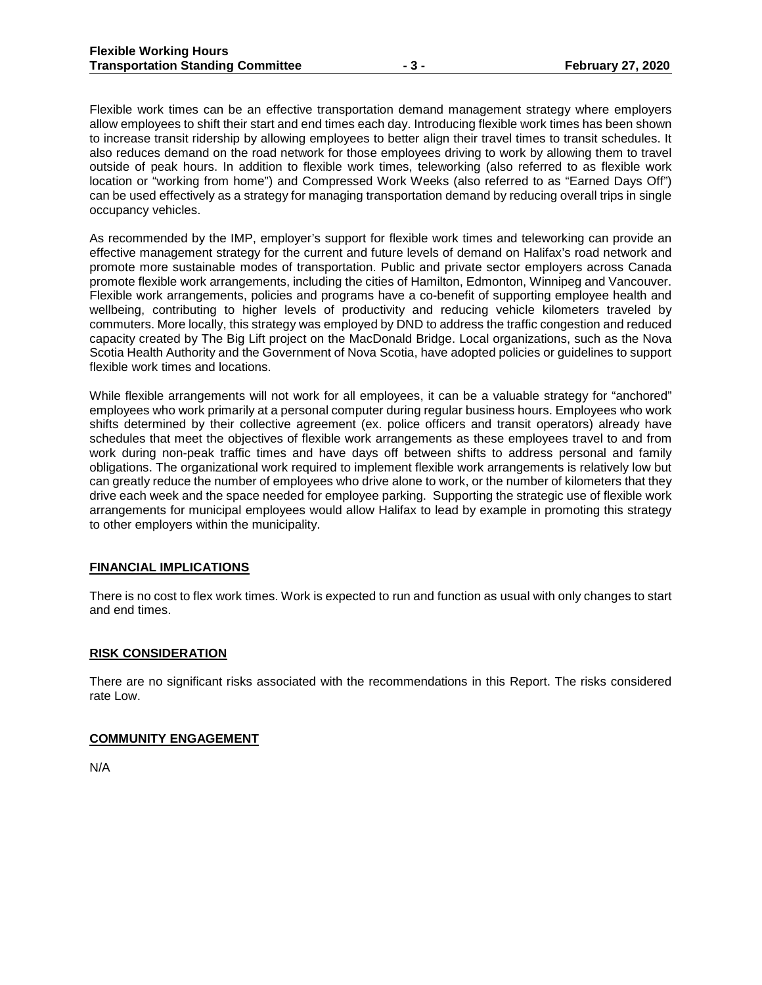Flexible work times can be an effective transportation demand management strategy where employers allow employees to shift their start and end times each day. Introducing flexible work times has been shown to increase transit ridership by allowing employees to better align their travel times to transit schedules. It also reduces demand on the road network for those employees driving to work by allowing them to travel outside of peak hours. In addition to flexible work times, teleworking (also referred to as flexible work location or "working from home") and Compressed Work Weeks (also referred to as "Earned Days Off") can be used effectively as a strategy for managing transportation demand by reducing overall trips in single occupancy vehicles.

As recommended by the IMP, employer's support for flexible work times and teleworking can provide an effective management strategy for the current and future levels of demand on Halifax's road network and promote more sustainable modes of transportation. Public and private sector employers across Canada promote flexible work arrangements, including the cities of Hamilton, Edmonton, Winnipeg and Vancouver. Flexible work arrangements, policies and programs have a co-benefit of supporting employee health and wellbeing, contributing to higher levels of productivity and reducing vehicle kilometers traveled by commuters. More locally, this strategy was employed by DND to address the traffic congestion and reduced capacity created by The Big Lift project on the MacDonald Bridge. Local organizations, such as the Nova Scotia Health Authority and the Government of Nova Scotia, have adopted policies or guidelines to support flexible work times and locations.

While flexible arrangements will not work for all employees, it can be a valuable strategy for "anchored" employees who work primarily at a personal computer during regular business hours. Employees who work shifts determined by their collective agreement (ex. police officers and transit operators) already have schedules that meet the objectives of flexible work arrangements as these employees travel to and from work during non-peak traffic times and have days off between shifts to address personal and family obligations. The organizational work required to implement flexible work arrangements is relatively low but can greatly reduce the number of employees who drive alone to work, or the number of kilometers that they drive each week and the space needed for employee parking. Supporting the strategic use of flexible work arrangements for municipal employees would allow Halifax to lead by example in promoting this strategy to other employers within the municipality.

#### **FINANCIAL IMPLICATIONS**

There is no cost to flex work times. Work is expected to run and function as usual with only changes to start and end times.

#### **RISK CONSIDERATION**

There are no significant risks associated with the recommendations in this Report. The risks considered rate Low.

#### **COMMUNITY ENGAGEMENT**

N/A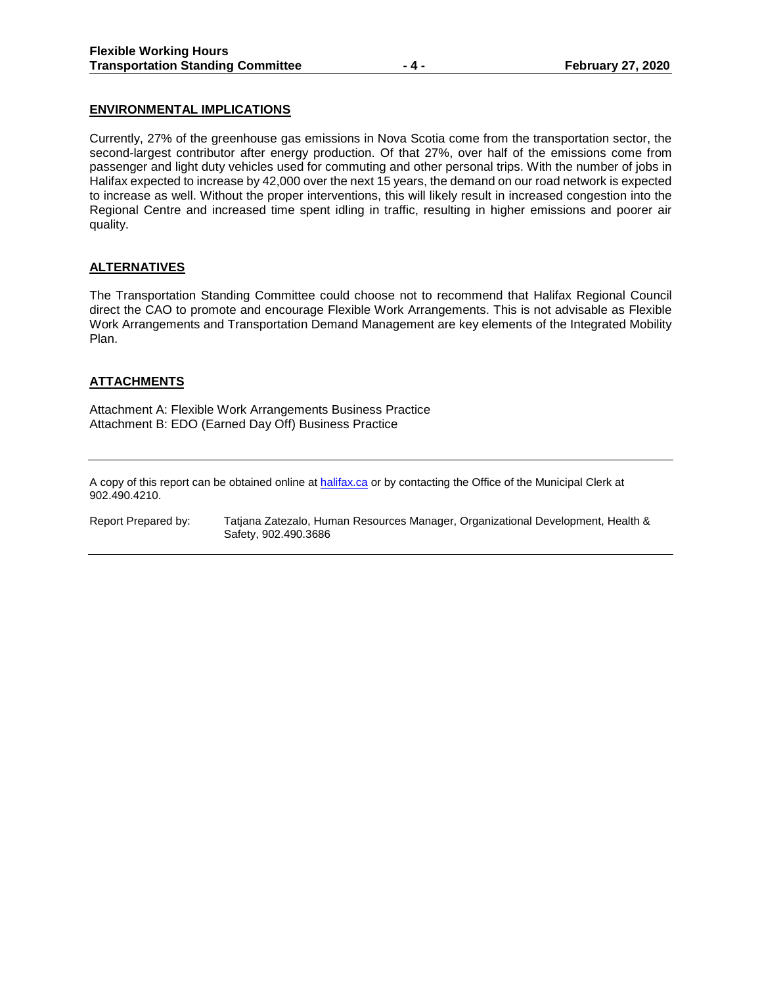## **ENVIRONMENTAL IMPLICATIONS**

Currently, 27% of the greenhouse gas emissions in Nova Scotia come from the transportation sector, the second-largest contributor after energy production. Of that 27%, over half of the emissions come from passenger and light duty vehicles used for commuting and other personal trips. With the number of jobs in Halifax expected to increase by 42,000 over the next 15 years, the demand on our road network is expected to increase as well. Without the proper interventions, this will likely result in increased congestion into the Regional Centre and increased time spent idling in traffic, resulting in higher emissions and poorer air quality.

## **ALTERNATIVES**

The Transportation Standing Committee could choose not to recommend that Halifax Regional Council direct the CAO to promote and encourage Flexible Work Arrangements. This is not advisable as Flexible Work Arrangements and Transportation Demand Management are key elements of the Integrated Mobility Plan.

## **ATTACHMENTS**

Attachment A: Flexible Work Arrangements Business Practice Attachment B: EDO (Earned Day Off) Business Practice

A copy of this report can be obtained online a[t halifax.ca](http://www.halifax.ca/) or by contacting the Office of the Municipal Clerk at 902.490.4210.

Report Prepared by: Tatjana Zatezalo, Human Resources Manager, Organizational Development, Health & Safety, 902.490.3686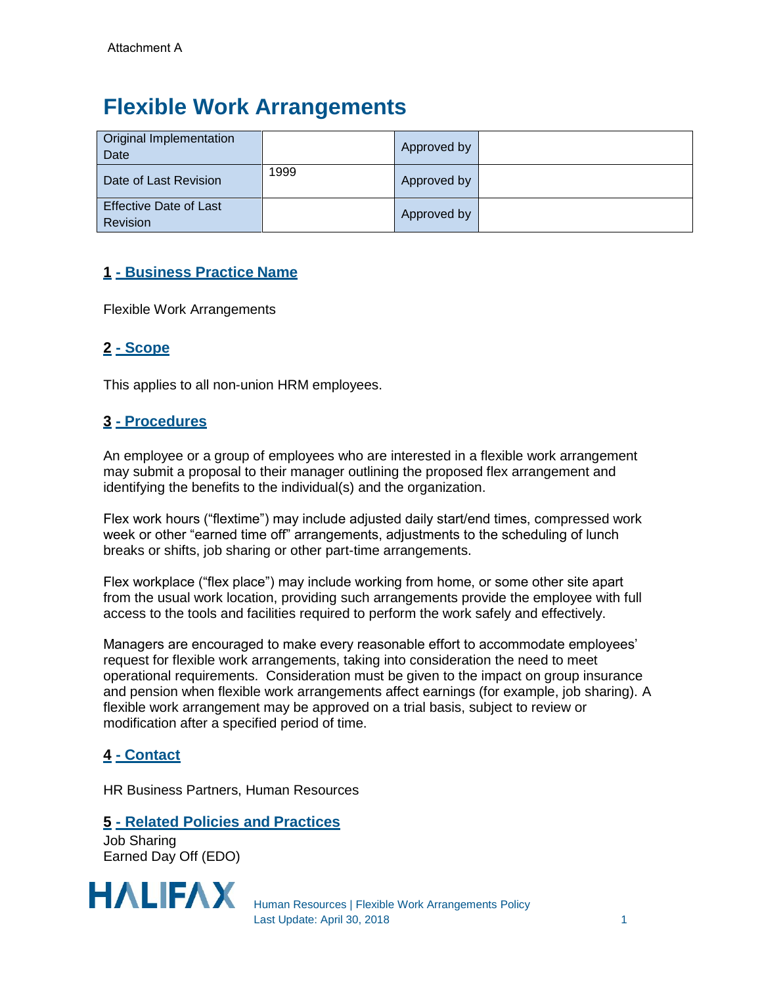# **Flexible Work Arrangements**

| <b>Original Implementation</b><br>Date    |      | Approved by |  |
|-------------------------------------------|------|-------------|--|
| Date of Last Revision                     | 1999 | Approved by |  |
| <b>Effective Date of Last</b><br>Revision |      | Approved by |  |

# **1 - Business Practice Name**

Flexible Work Arrangements

# **2 - Scope**

This applies to all non-union HRM employees.

# **3 - Procedures**

An employee or a group of employees who are interested in a flexible work arrangement may submit a proposal to their manager outlining the proposed flex arrangement and identifying the benefits to the individual(s) and the organization.

Flex work hours ("flextime") may include adjusted daily start/end times, compressed work week or other "earned time off" arrangements, adjustments to the scheduling of lunch breaks or shifts, job sharing or other part-time arrangements.

Flex workplace ("flex place") may include working from home, or some other site apart from the usual work location, providing such arrangements provide the employee with full access to the tools and facilities required to perform the work safely and effectively.

Managers are encouraged to make every reasonable effort to accommodate employees' request for flexible work arrangements, taking into consideration the need to meet operational requirements. Consideration must be given to the impact on group insurance and pension when flexible work arrangements affect earnings (for example, job sharing). A flexible work arrangement may be approved on a trial basis, subject to review or modification after a specified period of time.

# **4 - Contact**

HR Business Partners, Human Resources

# **5 - Related Policies and Practices**

Job Sharing Earned Day Off (EDO)



Human Resources | Flexible Work Arrangements Policy Last Update: April 30, 2018 1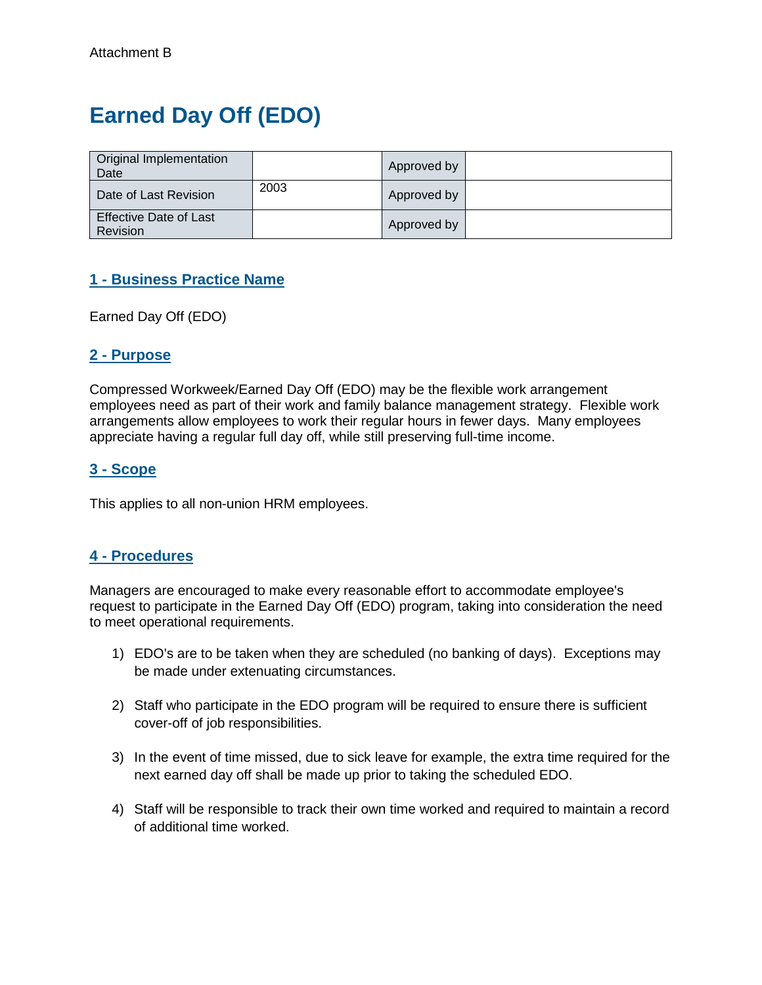# **Earned Day Off (EDO)**

| Original Implementation<br>Date                  |      | Approved by |  |
|--------------------------------------------------|------|-------------|--|
| Date of Last Revision                            | 2003 | Approved by |  |
| <b>Effective Date of Last</b><br><b>Revision</b> |      | Approved by |  |

# **1 - Business Practice Name**

Earned Day Off (EDO)

## **2 - Purpose**

Compressed Workweek/Earned Day Off (EDO) may be the flexible work arrangement employees need as part of their work and family balance management strategy. Flexible work arrangements allow employees to work their regular hours in fewer days. Many employees appreciate having a regular full day off, while still preserving full-time income.

## **3 - Scope**

This applies to all non-union HRM employees.

# **4 - Procedures**

Managers are encouraged to make every reasonable effort to accommodate employee's request to participate in the Earned Day Off (EDO) program, taking into consideration the need to meet operational requirements.

- 1) EDO's are to be taken when they are scheduled (no banking of days). Exceptions may be made under extenuating circumstances.
- 2) Staff who participate in the EDO program will be required to ensure there is sufficient cover-off of job responsibilities.
- 3) In the event of time missed, due to sick leave for example, the extra time required for the next earned day off shall be made up prior to taking the scheduled EDO.
- 4) Staff will be responsible to track their own time worked and required to maintain a record of additional time worked.